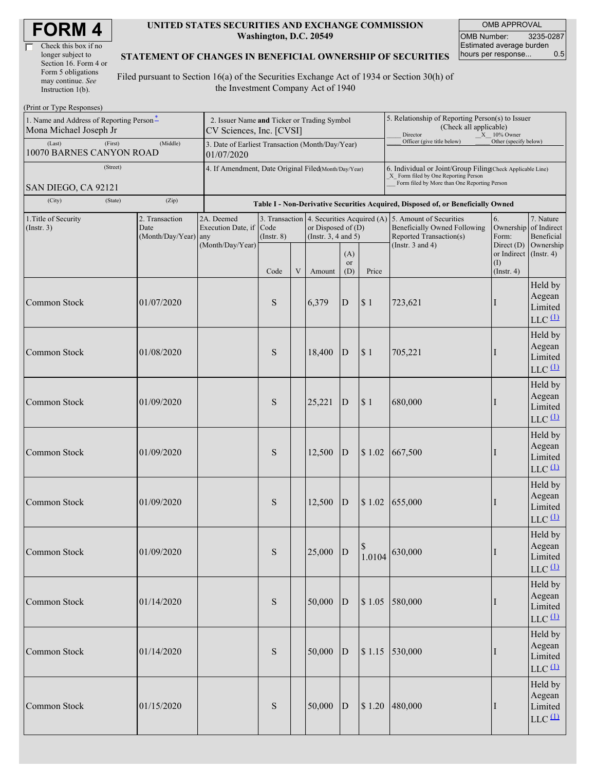| Check this box if no  |
|-----------------------|
| longer subject to     |
| Section 16. Form 4 or |
| Form 5 obligations    |
| may continue. See     |
| Instruction 1(b).     |

#### **UNITED STATES SECURITIES AND EXCHANGE COMMISSION Washington, D.C. 20549**

OMB APPROVAL OMB Number: 3235-0287 Estimated average burden<br>hours per response... 0.5 hours per response...

#### **STATEMENT OF CHANGES IN BENEFICIAL OWNERSHIP OF SECURITIES**

Filed pursuant to Section 16(a) of the Securities Exchange Act of 1934 or Section 30(h) of the Investment Company Act of 1940

| (Print or Type Responses)                                          |                                                                         |                                                                |                         |   |                                                                                             |                  |                                                                                                                                                    |                                                                                         |                                                                   |                                                                   |  |
|--------------------------------------------------------------------|-------------------------------------------------------------------------|----------------------------------------------------------------|-------------------------|---|---------------------------------------------------------------------------------------------|------------------|----------------------------------------------------------------------------------------------------------------------------------------------------|-----------------------------------------------------------------------------------------|-------------------------------------------------------------------|-------------------------------------------------------------------|--|
| 1. Name and Address of Reporting Person*<br>Mona Michael Joseph Jr | 2. Issuer Name and Ticker or Trading Symbol<br>CV Sciences, Inc. [CVSI] |                                                                |                         |   |                                                                                             |                  | 5. Relationship of Reporting Person(s) to Issuer<br>(Check all applicable)<br>Director<br>X 10% Owner                                              |                                                                                         |                                                                   |                                                                   |  |
| (Last)<br>(First)<br>10070 BARNES CANYON ROAD                      | (Middle)                                                                | 3. Date of Earliest Transaction (Month/Day/Year)<br>01/07/2020 |                         |   |                                                                                             |                  |                                                                                                                                                    | Officer (give title below)                                                              | Other (specify below)                                             |                                                                   |  |
| (Street)<br>SAN DIEGO, CA 92121                                    | 4. If Amendment, Date Original Filed(Month/Day/Year)                    |                                                                |                         |   |                                                                                             |                  | 6. Individual or Joint/Group Filing(Check Applicable Line)<br>X Form filed by One Reporting Person<br>Form filed by More than One Reporting Person |                                                                                         |                                                                   |                                                                   |  |
| (City)<br>(State)                                                  |                                                                         |                                                                |                         |   | Table I - Non-Derivative Securities Acquired, Disposed of, or Beneficially Owned            |                  |                                                                                                                                                    |                                                                                         |                                                                   |                                                                   |  |
| 1. Title of Security                                               | 2. Transaction                                                          | 2A. Deemed                                                     |                         |   |                                                                                             |                  |                                                                                                                                                    | 5. Amount of Securities                                                                 | 6.                                                                | 7. Nature                                                         |  |
| (Insert. 3)                                                        | Date<br>(Month/Day/Year) any                                            | Execution Date, if<br>(Month/Day/Year)                         | Code<br>$($ Instr. $8)$ |   | 3. Transaction 4. Securities Acquired (A)<br>or Disposed of (D)<br>(Instr. $3, 4$ and $5$ ) |                  |                                                                                                                                                    | <b>Beneficially Owned Following</b><br>Reported Transaction(s)<br>(Instr. $3$ and $4$ ) | Ownership<br>Form:                                                | of Indirect<br>Beneficial<br>Ownership                            |  |
|                                                                    |                                                                         |                                                                | Code                    | V | Amount                                                                                      | (A)<br>or<br>(D) | Price                                                                                                                                              |                                                                                         | Direct $(D)$<br>or Indirect (Instr. 4)<br>(I)<br>$($ Instr. 4 $)$ |                                                                   |  |
| Common Stock                                                       | 01/07/2020                                                              |                                                                | S                       |   | 6,379                                                                                       | $\mathbf D$      | \$1                                                                                                                                                | 723,621                                                                                 |                                                                   | Held by<br>Aegean<br>Limited<br>$LLC$ <sup><math>(1)</math></sup> |  |
| Common Stock                                                       | 01/08/2020                                                              |                                                                | S                       |   | 18,400                                                                                      | D                | \$1                                                                                                                                                | 705,221                                                                                 |                                                                   | Held by<br>Aegean<br>Limited<br>$LLC$ <sup><math>(1)</math></sup> |  |
| <b>Common Stock</b>                                                | 01/09/2020                                                              |                                                                | S                       |   | 25,221                                                                                      | D                | \$1                                                                                                                                                | 680,000                                                                                 |                                                                   | Held by<br>Aegean<br>Limited<br>$LLC$ <sup><math>(1)</math></sup> |  |
| Common Stock                                                       | 01/09/2020                                                              |                                                                | S                       |   | 12,500                                                                                      | $\mathbf{D}$     | \$1.02                                                                                                                                             | 667,500                                                                                 |                                                                   | Held by<br>Aegean<br>Limited<br>$LLC$ <sup><math>(1)</math></sup> |  |
| Common Stock                                                       | 01/09/2020                                                              |                                                                | S                       |   | 12,500                                                                                      | D                | \$1.02                                                                                                                                             | 655,000                                                                                 |                                                                   | Held by<br>Aegean<br>Limited<br>$LLC$ <sup><math>(1)</math></sup> |  |
| Common Stock                                                       | 01/09/2020                                                              |                                                                | S                       |   | 25,000                                                                                      | D                | $\mathbb S$<br>1.0104                                                                                                                              | 630,000                                                                                 |                                                                   | Held by<br>Aegean<br>Limited<br>$LLC$ <sup>(1)</sup>              |  |
| Common Stock                                                       | 01/14/2020                                                              |                                                                | S                       |   | 50,000                                                                                      | D                | \$1.05                                                                                                                                             | 580,000                                                                                 |                                                                   | Held by<br>Aegean<br>Limited<br>$LLC$ <sup>(1)</sup>              |  |
| Common Stock                                                       | 01/14/2020                                                              |                                                                | ${\bf S}$               |   | 50,000                                                                                      | D                | \$1.15                                                                                                                                             | 530,000                                                                                 |                                                                   | Held by<br>Aegean<br>Limited<br>$LLC$ <sup>(1)</sup>              |  |
| Common Stock                                                       | 01/15/2020                                                              |                                                                | S                       |   | 50,000                                                                                      | D                | \$1.20                                                                                                                                             | 480,000                                                                                 | I                                                                 | Held by<br>Aegean<br>Limited<br>$LLC$ <sup>(1)</sup>              |  |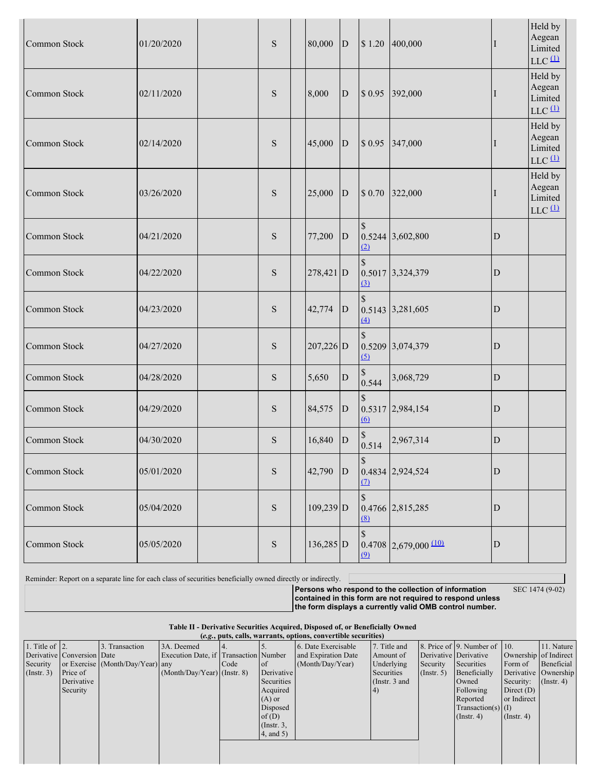| Common Stock | 01/20/2020 | ${\bf S}$ | 80,000      | $\mathbf{D}$   | \$1.20               | 400,000                 | П           | Held by<br>Aegean<br>Limited<br>$LLC$ <sup><math>(1)</math></sup> |
|--------------|------------|-----------|-------------|----------------|----------------------|-------------------------|-------------|-------------------------------------------------------------------|
| Common Stock | 02/11/2020 | S         | 8,000       | $\mathbf D$    | \$0.95               | 392,000                 | H           | Held by<br>Aegean<br>Limited<br>$LLC$ <sup><math>(1)</math></sup> |
| Common Stock | 02/14/2020 | S         | 45,000      | $\overline{D}$ | \$0.95               | 347,000                 |             | Held by<br>Aegean<br>Limited<br>$LLC$ <sup><math>(1)</math></sup> |
| Common Stock | 03/26/2020 | S         | 25,000      | $\mathbf{D}$   | \$0.70               | 322,000                 | $\bf{l}$    | Held by<br>Aegean<br>Limited<br>$LLC$ <sup><math>(1)</math></sup> |
| Common Stock | 04/21/2020 | ${\bf S}$ | 77,200      | $\mathbf D$    | $\mathcal{S}$<br>(2) | 0.5244 3,602,800        | $\mathbf D$ |                                                                   |
| Common Stock | 04/22/2020 | ${\bf S}$ | 278,421 D   |                | $\mathbb{S}$<br>(3)  | 0.5017 3,324,379        | $\mathbf D$ |                                                                   |
| Common Stock | 04/23/2020 | ${\bf S}$ | 42,774      | D              | $\mathcal{S}$<br>(4) | 0.5143 3,281,605        | $\mathbf D$ |                                                                   |
| Common Stock | 04/27/2020 | S         | 207,226 D   |                | $\mathcal{S}$<br>(5) | 0.5209 3,074,379        | $\mathbf D$ |                                                                   |
| Common Stock | 04/28/2020 | S         | 5,650       | D              | 0.544                | 3,068,729               | $\mathbf D$ |                                                                   |
| Common Stock | 04/29/2020 | ${\bf S}$ | 84,575      | D              | 60                   | 0.5317 2,984,154        | $\mathbf D$ |                                                                   |
| Common Stock | 04/30/2020 | S         | 16,840      | $\mathbf D$    | 0.514                | 2,967,314               | $\mathbf D$ |                                                                   |
| Common Stock | 05/01/2020 | ${\bf S}$ | 42,790      | D              | $\mathbb S$<br>(7)   | 0.4834 2,924,524        | $\mathbf D$ |                                                                   |
| Common Stock | 05/04/2020 | ${\bf S}$ | $109,239$ D |                | \$<br><u>(8)</u>     | 0.4766 2,815,285        | ${\bf D}$   |                                                                   |
| Common Stock | 05/05/2020 | ${\bf S}$ | 136,285 D   |                | \$<br>(9)            | $0.4708$ 2,679,000 (10) | $\mathbf D$ |                                                                   |

Reminder: Report on a separate line for each class of securities beneficially owned directly or indirectly.

SEC 1474 (9-02)

**Persons who respond to the collection of information contained in this form are not required to respond unless the form displays a currently valid OMB control number.**

**Table II - Derivative Securities Acquired, Disposed of, or Beneficially Owned**  $(e.g., \text{puts})$ 

|  | calls, warrants, options, convertible securities) |  |
|--|---------------------------------------------------|--|

| 1. Title of $\vert$ 2. |                            | 3. Transaction                   | 3A. Deemed                            | 14.  |                 | 6. Date Exercisable | 7. Title and    |                       | 8. Price of 9. Number of 10. |                               | 11. Nature           |
|------------------------|----------------------------|----------------------------------|---------------------------------------|------|-----------------|---------------------|-----------------|-----------------------|------------------------------|-------------------------------|----------------------|
|                        | Derivative Conversion Date |                                  | Execution Date, if Transaction Number |      |                 | and Expiration Date | Amount of       | Derivative Derivative |                              | Ownership of Indirect         |                      |
| Security               |                            | or Exercise (Month/Day/Year) any |                                       | Code | of c            | (Month/Day/Year)    | Underlying      | Security              | Securities                   | Form of                       | Beneficial           |
| $($ Instr. 3 $)$       | Price of                   |                                  | $(Month/Day/Year)$ (Instr. 8)         |      | Derivative      |                     | Securities      | (Insert, 5)           | Beneficially                 |                               | Derivative Ownership |
|                        | Derivative                 |                                  |                                       |      | Securities      |                     | (Instr. $3$ and |                       | Owned                        | Security: $(\text{Instr. 4})$ |                      |
|                        | Security                   |                                  |                                       |      | Acquired        |                     |                 |                       | Following                    | Direct $(D)$                  |                      |
|                        |                            |                                  |                                       |      | $(A)$ or        |                     |                 |                       | Reported                     | or Indirect                   |                      |
|                        |                            |                                  |                                       |      | Disposed        |                     |                 |                       | Transaction(s) $(I)$         |                               |                      |
|                        |                            |                                  |                                       |      | of(D)           |                     |                 |                       | $($ Instr. 4 $)$             | $($ Instr. 4 $)$              |                      |
|                        |                            |                                  |                                       |      | $($ Instr. 3,   |                     |                 |                       |                              |                               |                      |
|                        |                            |                                  |                                       |      | $4$ , and $5$ ) |                     |                 |                       |                              |                               |                      |
|                        |                            |                                  |                                       |      |                 |                     |                 |                       |                              |                               |                      |
|                        |                            |                                  |                                       |      |                 |                     |                 |                       |                              |                               |                      |
|                        |                            |                                  |                                       |      |                 |                     |                 |                       |                              |                               |                      |
|                        |                            |                                  |                                       |      |                 |                     |                 |                       |                              |                               |                      |